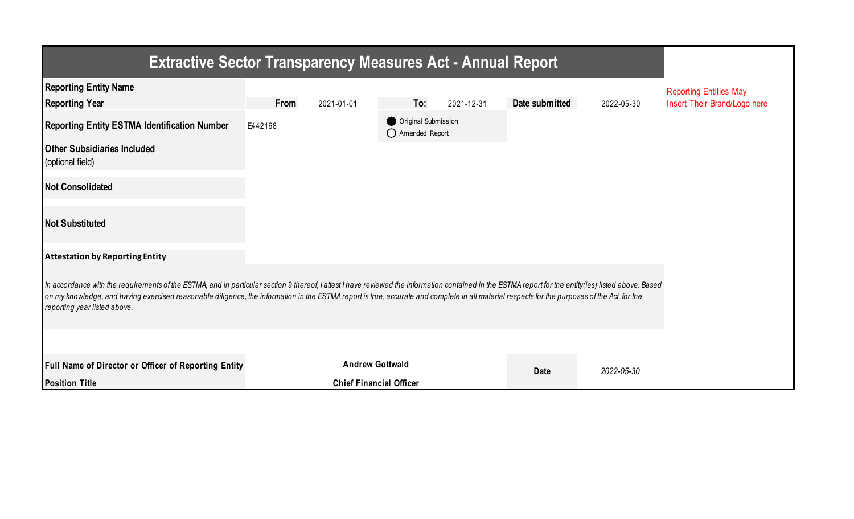| <b>Extractive Sector Transparency Measures Act - Annual Report</b>                                                                                                                                                                                                                                                                                                                                                                     |         |                                |     |                                         |                |            |                               |  |  |  |
|----------------------------------------------------------------------------------------------------------------------------------------------------------------------------------------------------------------------------------------------------------------------------------------------------------------------------------------------------------------------------------------------------------------------------------------|---------|--------------------------------|-----|-----------------------------------------|----------------|------------|-------------------------------|--|--|--|
| <b>Reporting Entity Name</b>                                                                                                                                                                                                                                                                                                                                                                                                           |         |                                |     |                                         |                |            | <b>Reporting Entities May</b> |  |  |  |
| <b>Reporting Year</b>                                                                                                                                                                                                                                                                                                                                                                                                                  | From    | 2021-01-01                     | To: | 2021-12-31                              | Date submitted | 2022-05-30 | Insert Their Brand/Logo here  |  |  |  |
| <b>Reporting Entity ESTMA Identification Number</b>                                                                                                                                                                                                                                                                                                                                                                                    | E442168 |                                |     | Original Submission<br>◯ Amended Report |                |            |                               |  |  |  |
| <b>Other Subsidiaries Included</b><br>(optional field)                                                                                                                                                                                                                                                                                                                                                                                 |         |                                |     |                                         |                |            |                               |  |  |  |
| <b>Not Consolidated</b>                                                                                                                                                                                                                                                                                                                                                                                                                |         |                                |     |                                         |                |            |                               |  |  |  |
| <b>Not Substituted</b>                                                                                                                                                                                                                                                                                                                                                                                                                 |         |                                |     |                                         |                |            |                               |  |  |  |
| <b>Attestation by Reporting Entity</b>                                                                                                                                                                                                                                                                                                                                                                                                 |         |                                |     |                                         |                |            |                               |  |  |  |
| In accordance with the requirements of the ESTMA, and in particular section 9 thereof, I attest I have reviewed the information contained in the ESTMA report for the entity (ies) listed above. Based<br>on my knowledge, and having exercised reasonable diligence, the information in the ESTMA report is true, accurate and complete in all material respects for the purposes of the Act, for the<br>reporting year listed above. |         |                                |     |                                         |                |            |                               |  |  |  |
|                                                                                                                                                                                                                                                                                                                                                                                                                                        |         |                                |     |                                         |                |            |                               |  |  |  |
| Full Name of Director or Officer of Reporting Entity                                                                                                                                                                                                                                                                                                                                                                                   |         | <b>Andrew Gottwald</b>         |     |                                         | <b>Date</b>    | 2022-05-30 |                               |  |  |  |
| <b>Position Title</b>                                                                                                                                                                                                                                                                                                                                                                                                                  |         | <b>Chief Financial Officer</b> |     |                                         |                |            |                               |  |  |  |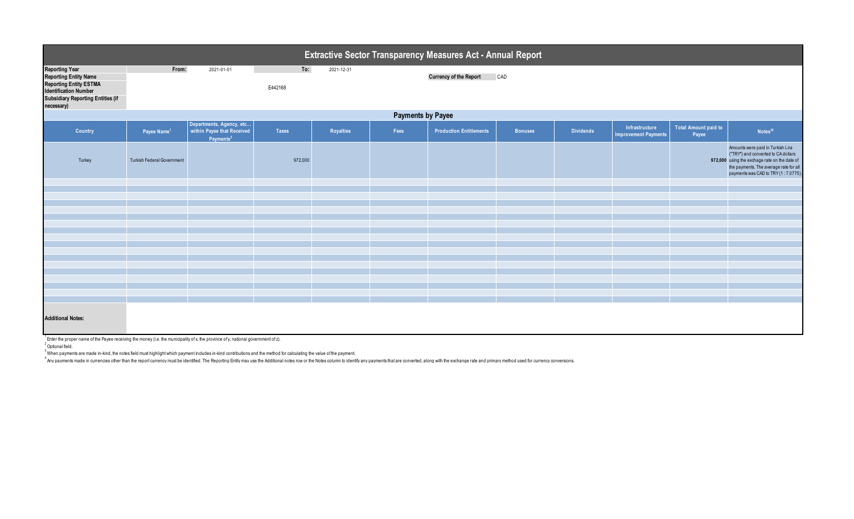|                                                                                                                                                                                  | <b>Extractive Sector Transparency Measures Act - Annual Report</b> |                                                                                 |                |            |      |                                |                |                  |                                        |                                      |                                                                                                                                                                                                            |  |  |
|----------------------------------------------------------------------------------------------------------------------------------------------------------------------------------|--------------------------------------------------------------------|---------------------------------------------------------------------------------|----------------|------------|------|--------------------------------|----------------|------------------|----------------------------------------|--------------------------------------|------------------------------------------------------------------------------------------------------------------------------------------------------------------------------------------------------------|--|--|
| <b>Reporting Year</b><br><b>Reporting Entity Name</b><br><b>Reporting Entity ESTMA</b><br><b>Identification Number</b><br><b>Subsidiary Reporting Entities (if</b><br>necessary) | From:                                                              | 2021-01-01                                                                      | To:<br>E442168 | 2021-12-31 |      | <b>Currency of the Report</b>  | CAD            |                  |                                        |                                      |                                                                                                                                                                                                            |  |  |
|                                                                                                                                                                                  | <b>Payments by Payee</b>                                           |                                                                                 |                |            |      |                                |                |                  |                                        |                                      |                                                                                                                                                                                                            |  |  |
| Country                                                                                                                                                                          | Payee Name <sup>1</sup>                                            | Departments, Agency, etc<br>within Payee that Received<br>Payments <sup>2</sup> | Taxes          | Royalties  | Fees | <b>Production Entitlements</b> | <b>Bonuses</b> | <b>Dividends</b> | Infrastructure<br>Improvement Payments | <b>Total Amount paid to</b><br>Payee | Notes <sup>34</sup>                                                                                                                                                                                        |  |  |
| Turkey                                                                                                                                                                           | <b>Turkish Federal Government</b>                                  |                                                                                 | 972,000        |            |      |                                |                |                  |                                        |                                      | Amounts were paid in Turkish Lira<br>("TRY") and converted to CA dollars<br>972,000 using the exchage rate on the date of<br>the payments. The average rate for all<br>payments was CAD to TRY (1:7.0775). |  |  |
|                                                                                                                                                                                  |                                                                    |                                                                                 |                |            |      |                                |                |                  |                                        |                                      |                                                                                                                                                                                                            |  |  |
|                                                                                                                                                                                  |                                                                    |                                                                                 |                |            |      |                                |                |                  |                                        |                                      |                                                                                                                                                                                                            |  |  |
|                                                                                                                                                                                  |                                                                    |                                                                                 |                |            |      |                                |                |                  |                                        |                                      |                                                                                                                                                                                                            |  |  |
|                                                                                                                                                                                  |                                                                    |                                                                                 |                |            |      |                                |                |                  |                                        |                                      |                                                                                                                                                                                                            |  |  |
|                                                                                                                                                                                  |                                                                    |                                                                                 |                |            |      |                                |                |                  |                                        |                                      |                                                                                                                                                                                                            |  |  |
|                                                                                                                                                                                  |                                                                    |                                                                                 |                |            |      |                                |                |                  |                                        |                                      |                                                                                                                                                                                                            |  |  |
|                                                                                                                                                                                  |                                                                    |                                                                                 |                |            |      |                                |                |                  |                                        |                                      |                                                                                                                                                                                                            |  |  |
|                                                                                                                                                                                  |                                                                    |                                                                                 |                |            |      |                                |                |                  |                                        |                                      |                                                                                                                                                                                                            |  |  |
|                                                                                                                                                                                  |                                                                    |                                                                                 |                |            |      |                                |                |                  |                                        |                                      |                                                                                                                                                                                                            |  |  |
|                                                                                                                                                                                  |                                                                    |                                                                                 |                |            |      |                                |                |                  |                                        |                                      |                                                                                                                                                                                                            |  |  |
|                                                                                                                                                                                  |                                                                    |                                                                                 |                |            |      |                                |                |                  |                                        |                                      |                                                                                                                                                                                                            |  |  |
|                                                                                                                                                                                  |                                                                    |                                                                                 |                |            |      |                                |                |                  |                                        |                                      |                                                                                                                                                                                                            |  |  |
|                                                                                                                                                                                  |                                                                    |                                                                                 |                |            |      |                                |                |                  |                                        |                                      |                                                                                                                                                                                                            |  |  |
| <b>Additional Notes:</b><br>$1$ Enter the proper name of the Payee receiving the money (i.e. the municipality of x, the province of y, national government of z).                |                                                                    |                                                                                 |                |            |      |                                |                |                  |                                        |                                      |                                                                                                                                                                                                            |  |  |

<sup>2</sup> Optional field.

 $^3$  When payments are made in-kind, the notes field must highlight which payment includes in-kind contributions and the method for calculating the value of the payment.

Any payments made in currencies other than the report currency must be identified. The Reporting Entity may use the Additional notes row or the Notes column to identify any payments that are converted, along with the excha